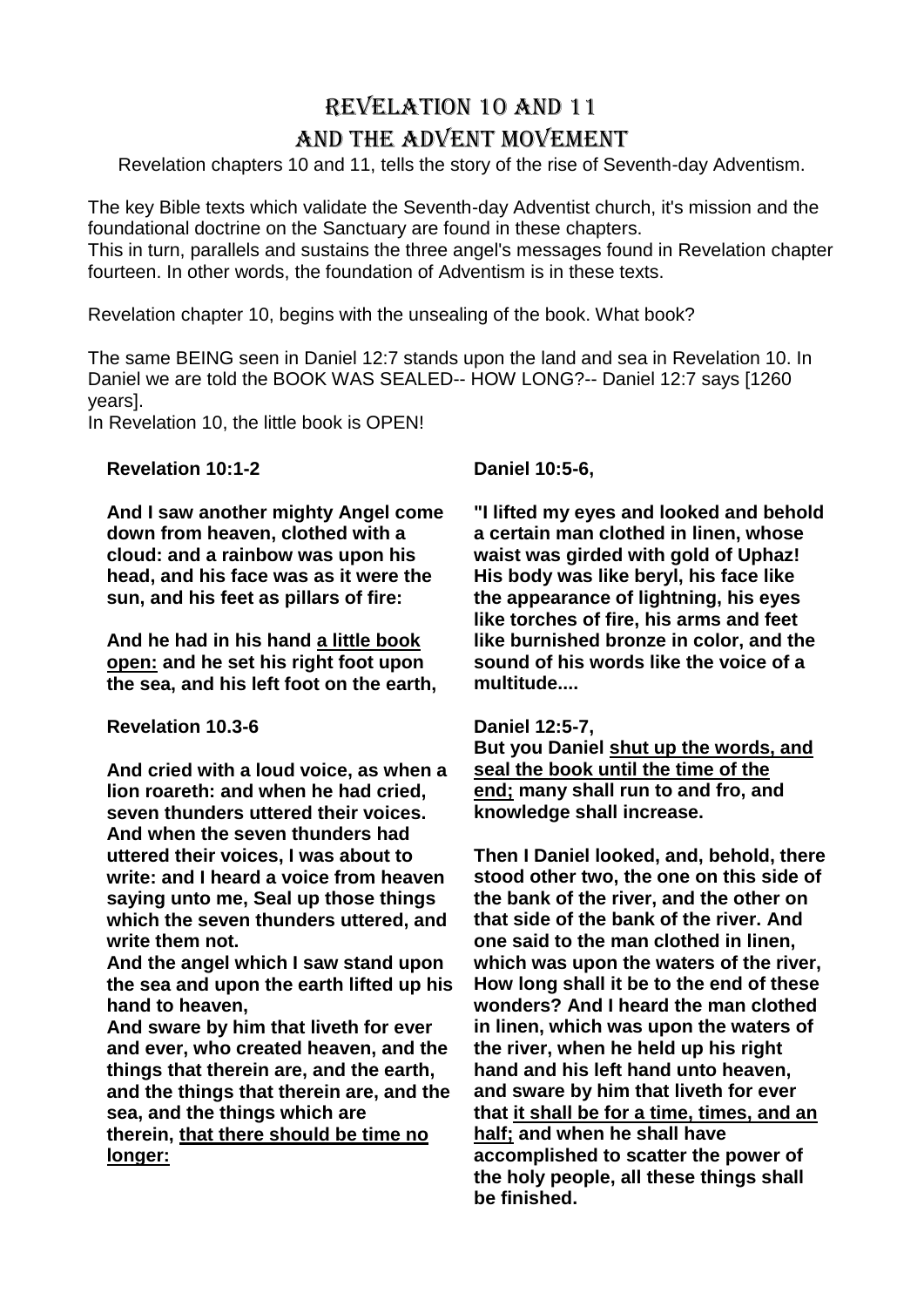# Revelation 10 and 11 and the Advent Movement

Revelation chapters 10 and 11, tells the story of the rise of Seventh-day Adventism.

The key Bible texts which validate the Seventh-day Adventist church, it's mission and the foundational doctrine on the Sanctuary are found in these chapters.

This in turn, parallels and sustains the three angel's messages found in Revelation chapter fourteen. In other words, the foundation of Adventism is in these texts.

Revelation chapter 10, begins with the unsealing of the book. What book?

The same BEING seen in Daniel 12:7 stands upon the land and sea in Revelation 10. In Daniel we are told the BOOK WAS SEALED-- HOW LONG?-- Daniel 12:7 says [1260 years].

In Revelation 10, the little book is OPEN!

**Revelation 10:1-2**

**And I saw another mighty Angel come down from heaven, clothed with a cloud: and a rainbow was upon his head, and his face was as it were the sun, and his feet as pillars of fire:**

**And he had in his hand a little book open: and he set his right foot upon the sea, and his left foot on the earth,**

**Revelation 10.3-6**

**And cried with a loud voice, as when a lion roareth: and when he had cried, seven thunders uttered their voices. And when the seven thunders had uttered their voices, I was about to write: and I heard a voice from heaven saying unto me, Seal up those things which the seven thunders uttered, and write them not.**

**And the angel which I saw stand upon the sea and upon the earth lifted up his hand to heaven,**

**And sware by him that liveth for ever and ever, who created heaven, and the things that therein are, and the earth, and the things that therein are, and the sea, and the things which are therein, that there should be time no longer:**

**Daniel 10:5-6,**

**"I lifted my eyes and looked and behold a certain man clothed in linen, whose waist was girded with gold of Uphaz! His body was like beryl, his face like the appearance of lightning, his eyes like torches of fire, his arms and feet like burnished bronze in color, and the sound of his words like the voice of a multitude....**

## **Daniel 12:5-7,**

**But you Daniel shut up the words, and seal the book until the time of the end; many shall run to and fro, and knowledge shall increase.**

**Then I Daniel looked, and, behold, there stood other two, the one on this side of the bank of the river, and the other on that side of the bank of the river. And one said to the man clothed in linen, which was upon the waters of the river, How long shall it be to the end of these wonders? And I heard the man clothed in linen, which was upon the waters of the river, when he held up his right hand and his left hand unto heaven, and sware by him that liveth for ever that it shall be for a time, times, and an half; and when he shall have accomplished to scatter the power of the holy people, all these things shall be finished.**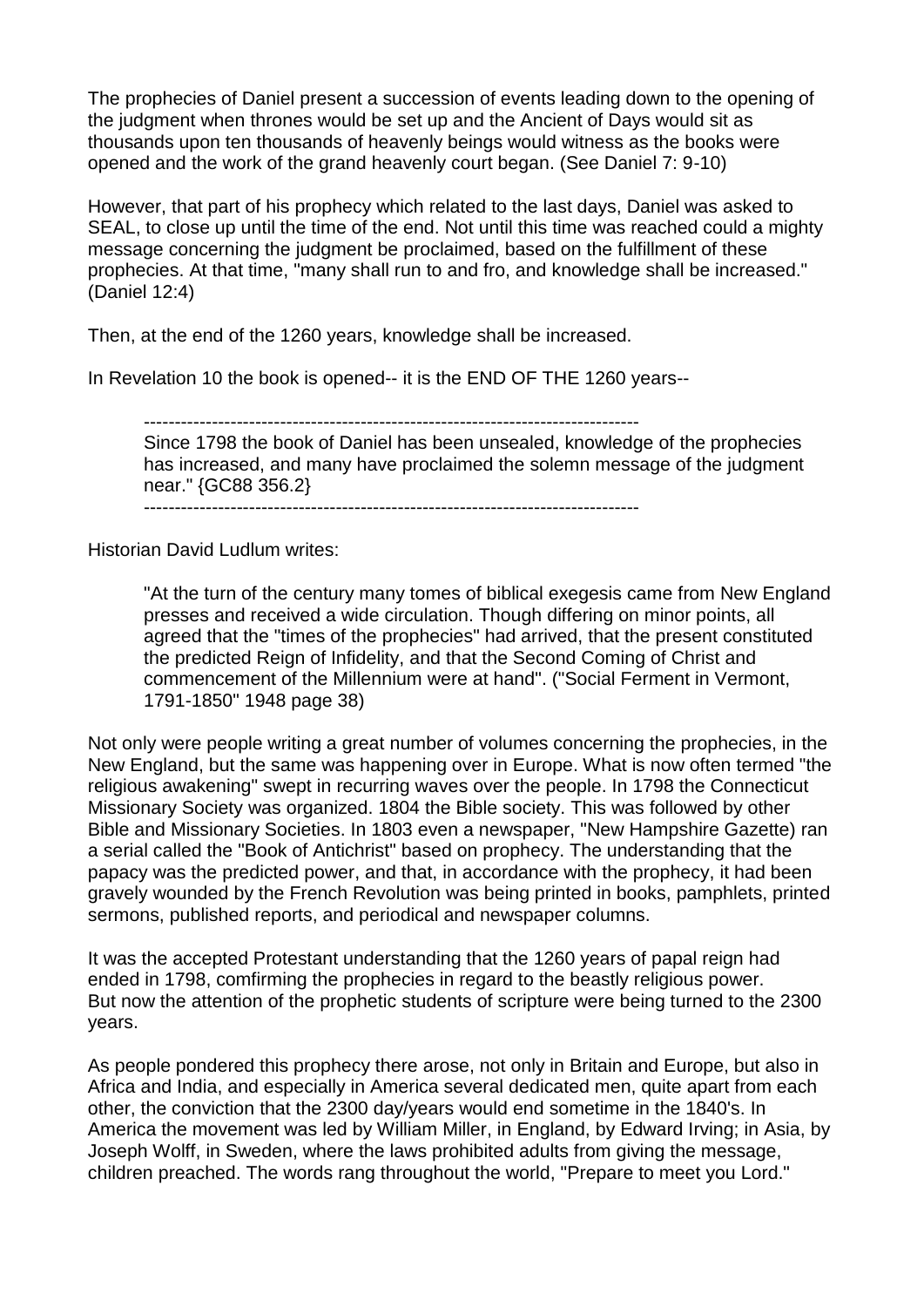The prophecies of Daniel present a succession of events leading down to the opening of the judgment when thrones would be set up and the Ancient of Days would sit as thousands upon ten thousands of heavenly beings would witness as the books were opened and the work of the grand heavenly court began. (See Daniel 7: 9-10)

However, that part of his prophecy which related to the last days, Daniel was asked to SEAL, to close up until the time of the end. Not until this time was reached could a mighty message concerning the judgment be proclaimed, based on the fulfillment of these prophecies. At that time, "many shall run to and fro, and knowledge shall be increased." (Daniel 12:4)

Then, at the end of the 1260 years, knowledge shall be increased.

In Revelation 10 the book is opened-- it is the END OF THE 1260 years--

--------------------------------------------------------------------------------

Since 1798 the book of Daniel has been unsealed, knowledge of the prophecies has increased, and many have proclaimed the solemn message of the judgment near." {GC88 356.2}

--------------------------------------------------------------------------------

Historian David Ludlum writes:

"At the turn of the century many tomes of biblical exegesis came from New England presses and received a wide circulation. Though differing on minor points, all agreed that the "times of the prophecies" had arrived, that the present constituted the predicted Reign of Infidelity, and that the Second Coming of Christ and commencement of the Millennium were at hand". ("Social Ferment in Vermont, 1791-1850" 1948 page 38)

Not only were people writing a great number of volumes concerning the prophecies, in the New England, but the same was happening over in Europe. What is now often termed "the religious awakening" swept in recurring waves over the people. In 1798 the Connecticut Missionary Society was organized. 1804 the Bible society. This was followed by other Bible and Missionary Societies. In 1803 even a newspaper, "New Hampshire Gazette) ran a serial called the "Book of Antichrist" based on prophecy. The understanding that the papacy was the predicted power, and that, in accordance with the prophecy, it had been gravely wounded by the French Revolution was being printed in books, pamphlets, printed sermons, published reports, and periodical and newspaper columns.

It was the accepted Protestant understanding that the 1260 years of papal reign had ended in 1798, comfirming the prophecies in regard to the beastly religious power. But now the attention of the prophetic students of scripture were being turned to the 2300 years.

As people pondered this prophecy there arose, not only in Britain and Europe, but also in Africa and India, and especially in America several dedicated men, quite apart from each other, the conviction that the 2300 day/years would end sometime in the 1840's. In America the movement was led by William Miller, in England, by Edward Irving; in Asia, by Joseph Wolff, in Sweden, where the laws prohibited adults from giving the message, children preached. The words rang throughout the world, "Prepare to meet you Lord."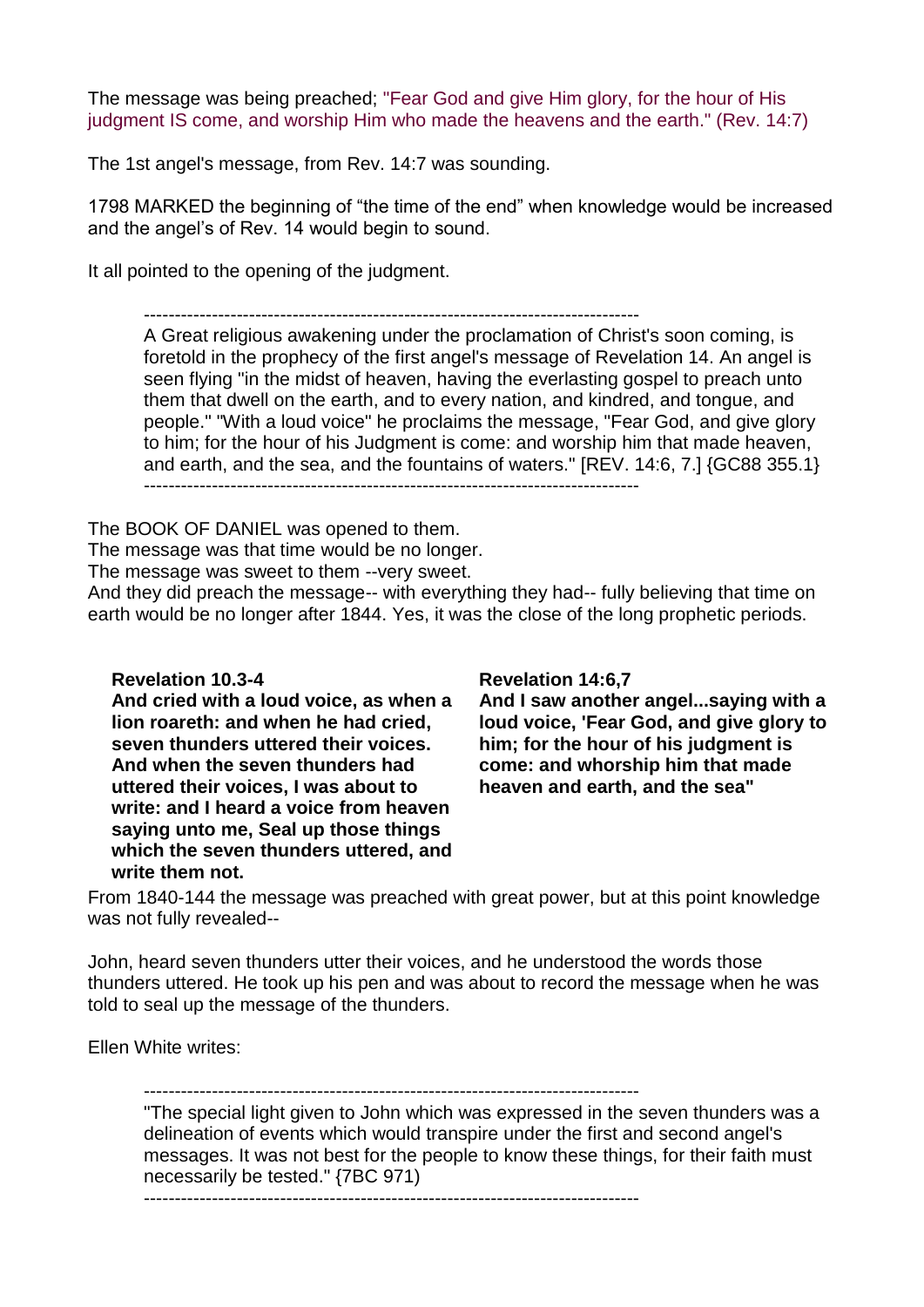The message was being preached; "Fear God and give Him glory, for the hour of His judgment IS come, and worship Him who made the heavens and the earth." (Rev. 14:7)

The 1st angel's message, from Rev. 14:7 was sounding.

1798 MARKED the beginning of "the time of the end" when knowledge would be increased and the angel's of Rev. 14 would begin to sound.

It all pointed to the opening of the judgment.

--------------------------------------------------------------------------------

A Great religious awakening under the proclamation of Christ's soon coming, is foretold in the prophecy of the first angel's message of Revelation 14. An angel is seen flying "in the midst of heaven, having the everlasting gospel to preach unto them that dwell on the earth, and to every nation, and kindred, and tongue, and people." "With a loud voice" he proclaims the message, "Fear God, and give glory to him; for the hour of his Judgment is come: and worship him that made heaven, and earth, and the sea, and the fountains of waters." [REV. 14:6, 7.] {GC88 355.1} --------------------------------------------------------------------------------

The BOOK OF DANIEL was opened to them.

The message was that time would be no longer.

The message was sweet to them --very sweet.

And they did preach the message-- with everything they had-- fully believing that time on earth would be no longer after 1844. Yes, it was the close of the long prophetic periods.

**Revelation 10.3-4**

**And cried with a loud voice, as when a lion roareth: and when he had cried, seven thunders uttered their voices. And when the seven thunders had uttered their voices, I was about to write: and I heard a voice from heaven saying unto me, Seal up those things which the seven thunders uttered, and write them not.**

## **Revelation 14:6,7**

**And I saw another angel...saying with a loud voice, 'Fear God, and give glory to him; for the hour of his judgment is come: and whorship him that made heaven and earth, and the sea"**

From 1840-144 the message was preached with great power, but at this point knowledge was not fully revealed--

John, heard seven thunders utter their voices, and he understood the words those thunders uttered. He took up his pen and was about to record the message when he was told to seal up the message of the thunders.

Ellen White writes:

--------------------------------------------------------------------------------

"The special light given to John which was expressed in the seven thunders was a delineation of events which would transpire under the first and second angel's messages. It was not best for the people to know these things, for their faith must necessarily be tested." {7BC 971)

--------------------------------------------------------------------------------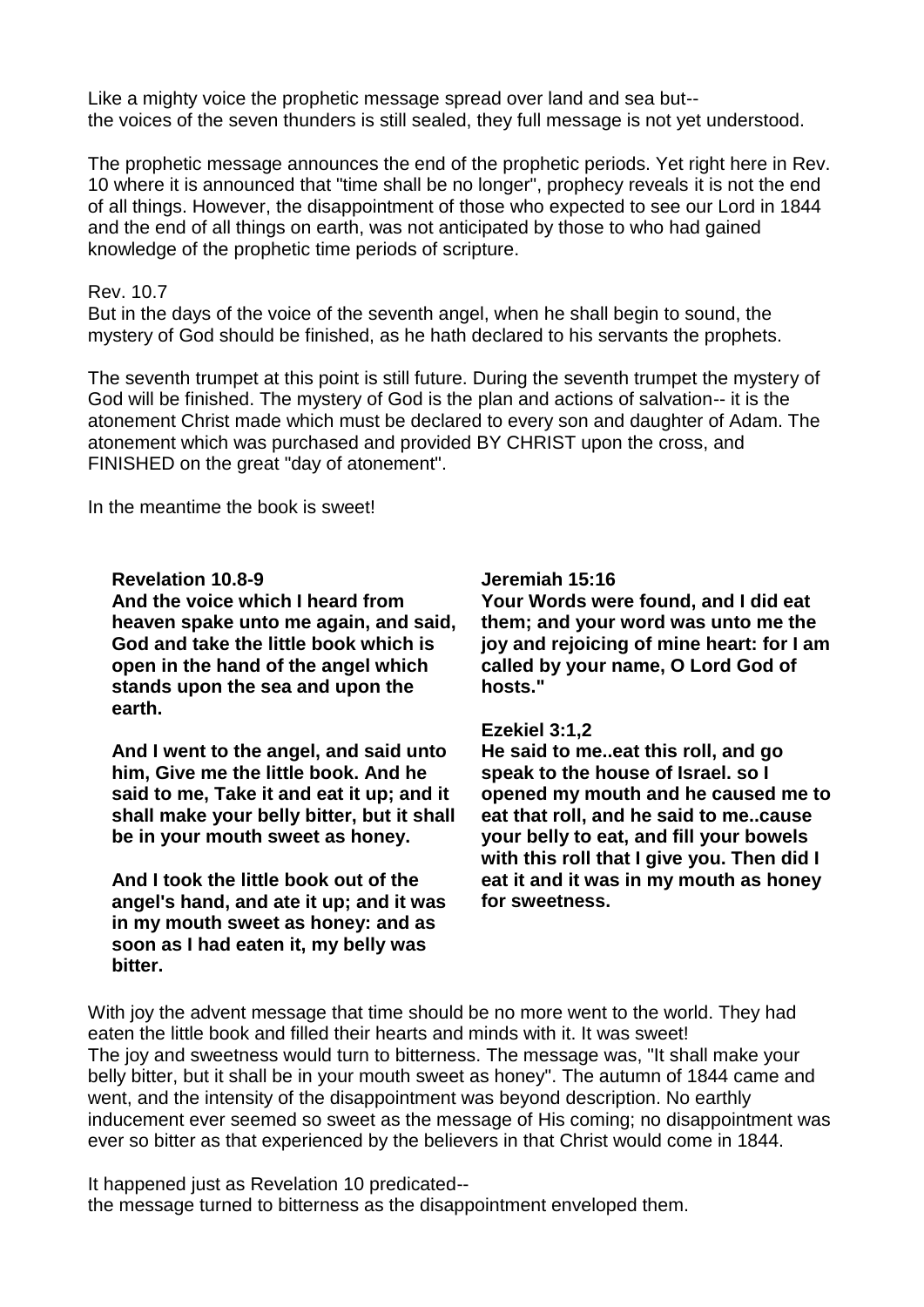Like a mighty voice the prophetic message spread over land and sea but- the voices of the seven thunders is still sealed, they full message is not yet understood.

The prophetic message announces the end of the prophetic periods. Yet right here in Rev. 10 where it is announced that "time shall be no longer", prophecy reveals it is not the end of all things. However, the disappointment of those who expected to see our Lord in 1844 and the end of all things on earth, was not anticipated by those to who had gained knowledge of the prophetic time periods of scripture.

## Rev. 10.7

But in the days of the voice of the seventh angel, when he shall begin to sound, the mystery of God should be finished, as he hath declared to his servants the prophets.

The seventh trumpet at this point is still future. During the seventh trumpet the mystery of God will be finished. The mystery of God is the plan and actions of salvation-- it is the atonement Christ made which must be declared to every son and daughter of Adam. The atonement which was purchased and provided BY CHRIST upon the cross, and FINISHED on the great "day of atonement".

In the meantime the book is sweet!

#### **Revelation 10.8-9**

**And the voice which I heard from heaven spake unto me again, and said, God and take the little book which is open in the hand of the angel which stands upon the sea and upon the earth.**

**And I went to the angel, and said unto him, Give me the little book. And he said to me, Take it and eat it up; and it shall make your belly bitter, but it shall be in your mouth sweet as honey.**

**And I took the little book out of the angel's hand, and ate it up; and it was in my mouth sweet as honey: and as soon as I had eaten it, my belly was bitter.**

#### **Jeremiah 15:16**

**Your Words were found, and I did eat them; and your word was unto me the joy and rejoicing of mine heart: for I am called by your name, O Lord God of hosts."**

#### **Ezekiel 3:1,2**

**He said to me..eat this roll, and go speak to the house of Israel. so I opened my mouth and he caused me to eat that roll, and he said to me..cause your belly to eat, and fill your bowels with this roll that I give you. Then did I eat it and it was in my mouth as honey for sweetness.**

With joy the advent message that time should be no more went to the world. They had eaten the little book and filled their hearts and minds with it. It was sweet! The joy and sweetness would turn to bitterness. The message was, "It shall make your belly bitter, but it shall be in your mouth sweet as honey". The autumn of 1844 came and went, and the intensity of the disappointment was beyond description. No earthly inducement ever seemed so sweet as the message of His coming; no disappointment was ever so bitter as that experienced by the believers in that Christ would come in 1844.

It happened just as Revelation 10 predicated- the message turned to bitterness as the disappointment enveloped them.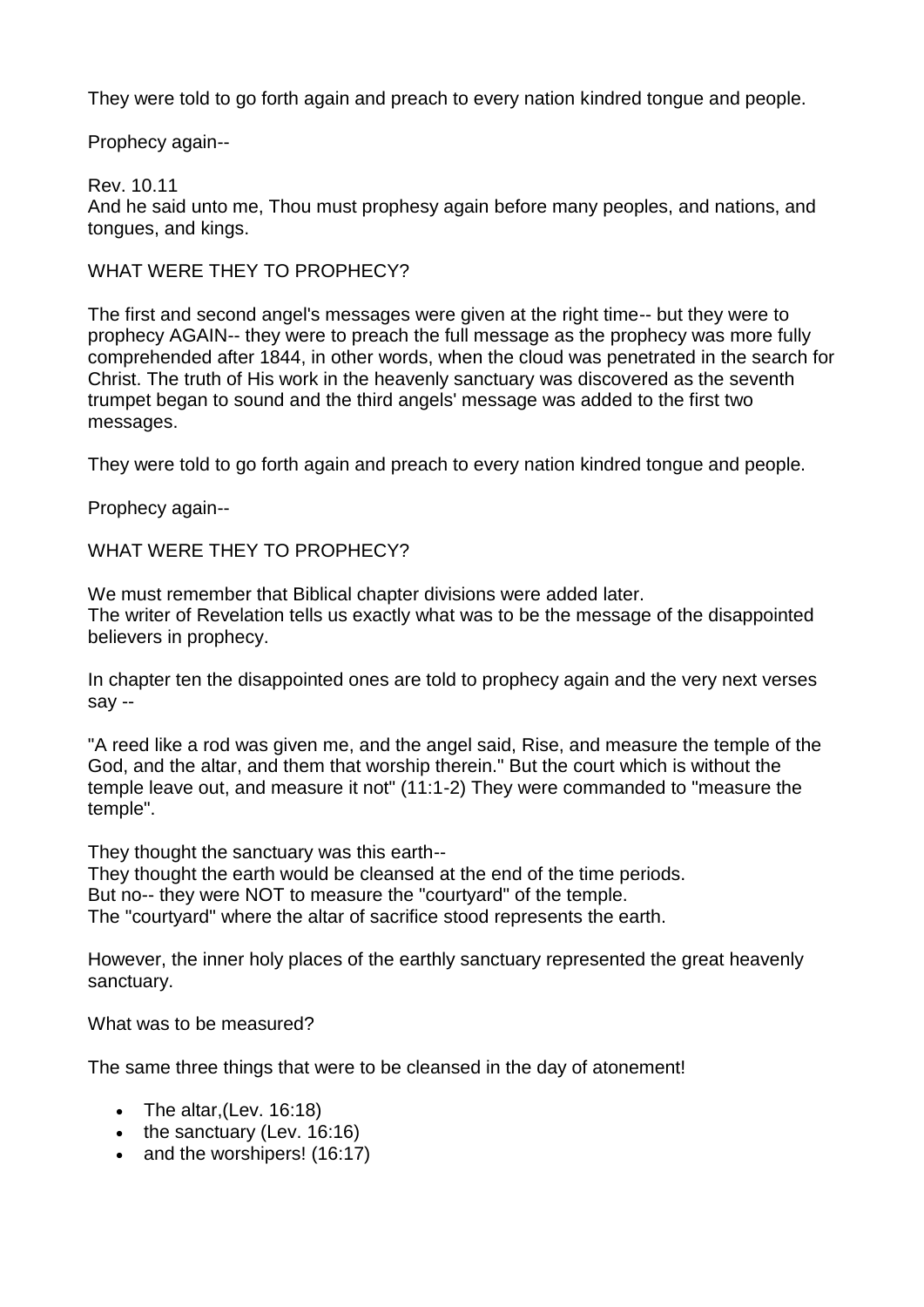They were told to go forth again and preach to every nation kindred tongue and people.

Prophecy again--

# Rev. 10.11

And he said unto me, Thou must prophesy again before many peoples, and nations, and tongues, and kings.

# WHAT WERE THEY TO PROPHECY?

The first and second angel's messages were given at the right time-- but they were to prophecy AGAIN-- they were to preach the full message as the prophecy was more fully comprehended after 1844, in other words, when the cloud was penetrated in the search for Christ. The truth of His work in the heavenly sanctuary was discovered as the seventh trumpet began to sound and the third angels' message was added to the first two messages.

They were told to go forth again and preach to every nation kindred tongue and people.

Prophecy again--

WHAT WERE THEY TO PROPHECY?

We must remember that Biblical chapter divisions were added later. The writer of Revelation tells us exactly what was to be the message of the disappointed believers in prophecy.

In chapter ten the disappointed ones are told to prophecy again and the very next verses say --

"A reed like a rod was given me, and the angel said, Rise, and measure the temple of the God, and the altar, and them that worship therein." But the court which is without the temple leave out, and measure it not" (11:1-2) They were commanded to "measure the temple".

They thought the sanctuary was this earth--

They thought the earth would be cleansed at the end of the time periods.

But no-- they were NOT to measure the "courtyard" of the temple.

The "courtyard" where the altar of sacrifice stood represents the earth.

However, the inner holy places of the earthly sanctuary represented the great heavenly sanctuary.

What was to be measured?

The same three things that were to be cleansed in the day of atonement!

- The altar, (Lev.  $16:18$ )
- $\bullet$  the sanctuary (Lev. 16:16)
- and the worshipers! (16:17)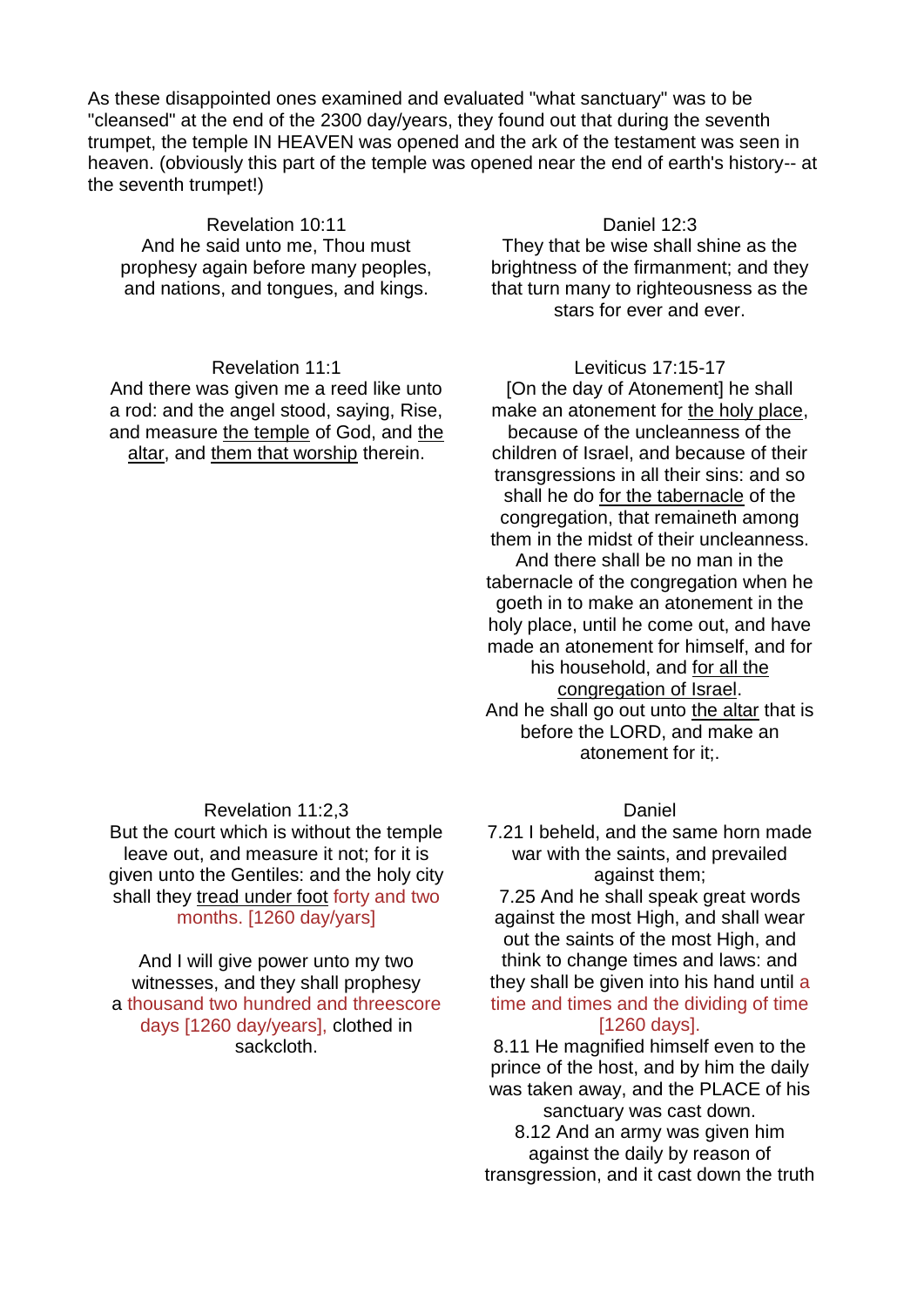As these disappointed ones examined and evaluated "what sanctuary" was to be "cleansed" at the end of the 2300 day/years, they found out that during the seventh trumpet, the temple IN HEAVEN was opened and the ark of the testament was seen in heaven. (obviously this part of the temple was opened near the end of earth's history-- at the seventh trumpet!)

Revelation 10:11 And he said unto me, Thou must prophesy again before many peoples, and nations, and tongues, and kings.

#### Revelation 11:1

And there was given me a reed like unto a rod: and the angel stood, saying, Rise, and measure the temple of God, and the altar, and them that worship therein.

#### Revelation 11:2,3

But the court which is without the temple leave out, and measure it not; for it is given unto the Gentiles: and the holy city shall they tread under foot forty and two months. [1260 day/yars]

And I will give power unto my two witnesses, and they shall prophesy a thousand two hundred and threescore days [1260 day/years], clothed in sackcloth.

# Daniel 12:3

They that be wise shall shine as the brightness of the firmanment; and they that turn many to righteousness as the stars for ever and ever.

## Leviticus 17:15-17

[On the day of Atonement] he shall make an atonement for the holy place, because of the uncleanness of the children of Israel, and because of their transgressions in all their sins: and so shall he do for the tabernacle of the congregation, that remaineth among them in the midst of their uncleanness. And there shall be no man in the tabernacle of the congregation when he goeth in to make an atonement in the holy place, until he come out, and have made an atonement for himself, and for his household, and for all the congregation of Israel. And he shall go out unto the altar that is before the LORD, and make an atonement for it:.

#### Daniel

7.21 I beheld, and the same horn made war with the saints, and prevailed against them;

7.25 And he shall speak great words against the most High, and shall wear out the saints of the most High, and think to change times and laws: and they shall be given into his hand until a time and times and the dividing of time [1260 days].

8.11 He magnified himself even to the prince of the host, and by him the daily was taken away, and the PLACE of his sanctuary was cast down. 8.12 And an army was given him against the daily by reason of transgression, and it cast down the truth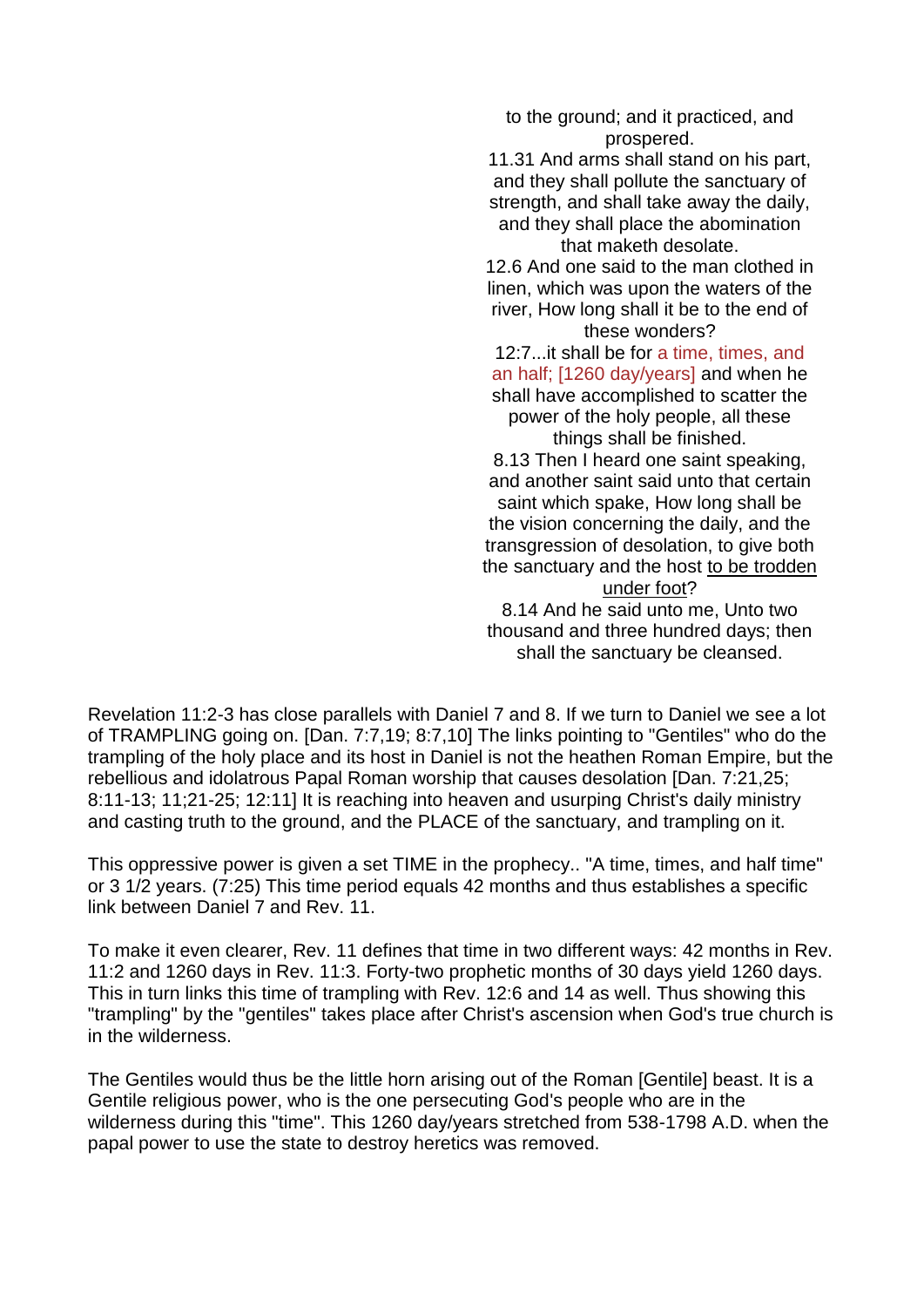to the ground; and it practiced, and prospered.

11.31 And arms shall stand on his part, and they shall pollute the sanctuary of strength, and shall take away the daily, and they shall place the abomination that maketh desolate.

12.6 And one said to the man clothed in linen, which was upon the waters of the river, How long shall it be to the end of these wonders?

# 12:7...it shall be for a time, times, and an half; [1260 day/years] and when he shall have accomplished to scatter the power of the holy people, all these things shall be finished.

8.13 Then I heard one saint speaking, and another saint said unto that certain saint which spake, How long shall be the vision concerning the daily, and the transgression of desolation, to give both the sanctuary and the host to be trodden under foot?

8.14 And he said unto me, Unto two thousand and three hundred days; then shall the sanctuary be cleansed.

Revelation 11:2-3 has close parallels with Daniel 7 and 8. If we turn to Daniel we see a lot of TRAMPLING going on. [Dan. 7:7,19; 8:7,10] The links pointing to "Gentiles" who do the trampling of the holy place and its host in Daniel is not the heathen Roman Empire, but the rebellious and idolatrous Papal Roman worship that causes desolation [Dan. 7:21,25; 8:11-13; 11;21-25; 12:11] It is reaching into heaven and usurping Christ's daily ministry and casting truth to the ground, and the PLACE of the sanctuary, and trampling on it.

This oppressive power is given a set TIME in the prophecy.. "A time, times, and half time" or 3 1/2 years. (7:25) This time period equals 42 months and thus establishes a specific link between Daniel 7 and Rev. 11.

To make it even clearer, Rev. 11 defines that time in two different ways: 42 months in Rev. 11:2 and 1260 days in Rev. 11:3. Forty-two prophetic months of 30 days yield 1260 days. This in turn links this time of trampling with Rev. 12:6 and 14 as well. Thus showing this "trampling" by the "gentiles" takes place after Christ's ascension when God's true church is in the wilderness.

The Gentiles would thus be the little horn arising out of the Roman [Gentile] beast. It is a Gentile religious power, who is the one persecuting God's people who are in the wilderness during this "time". This 1260 day/years stretched from 538-1798 A.D. when the papal power to use the state to destroy heretics was removed.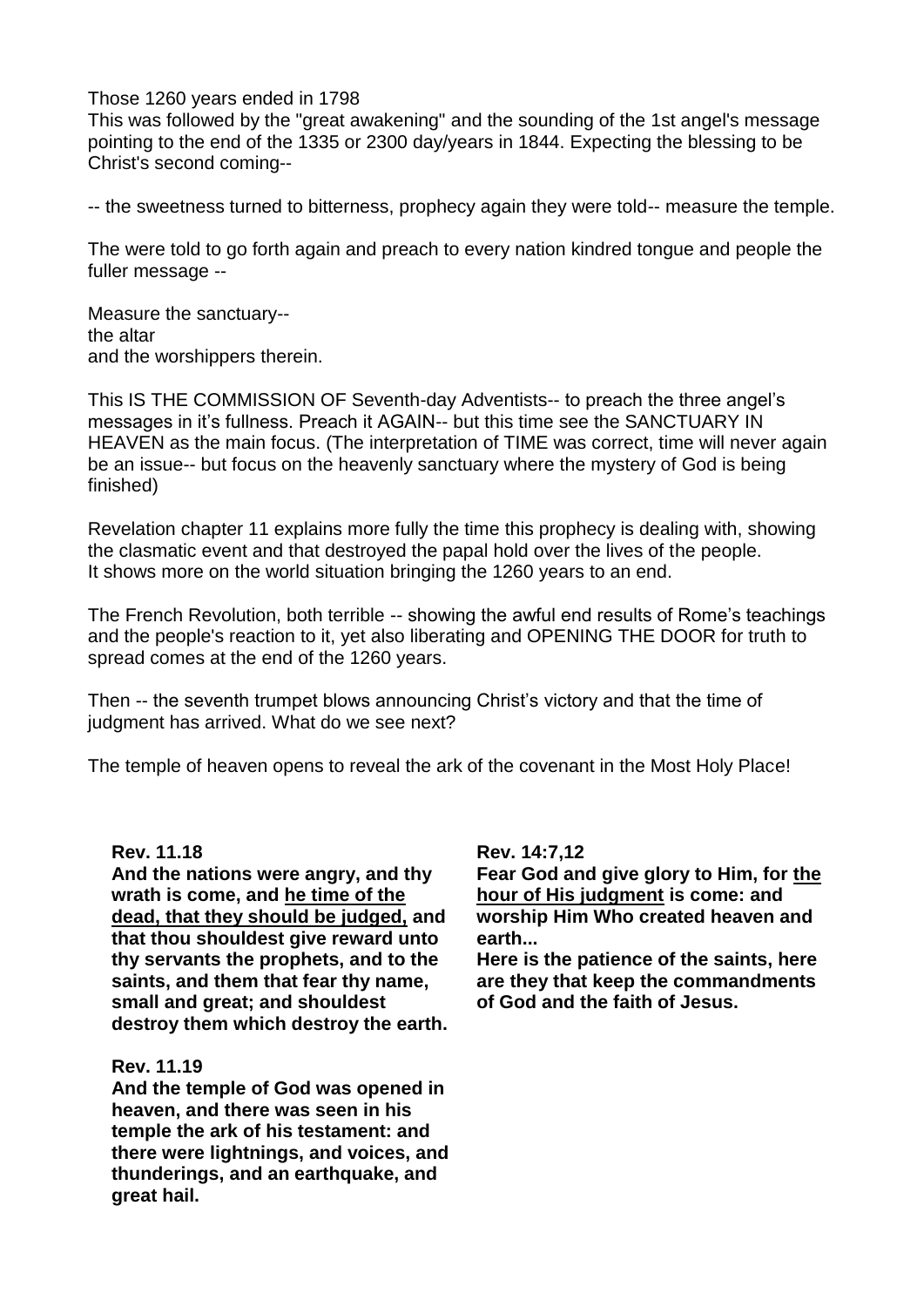### Those 1260 years ended in 1798

This was followed by the "great awakening" and the sounding of the 1st angel's message pointing to the end of the 1335 or 2300 day/years in 1844. Expecting the blessing to be Christ's second coming--

-- the sweetness turned to bitterness, prophecy again they were told-- measure the temple.

The were told to go forth again and preach to every nation kindred tongue and people the fuller message --

Measure the sanctuary- the altar and the worshippers therein.

This IS THE COMMISSION OF Seventh-day Adventists-- to preach the three angel's messages in it's fullness. Preach it AGAIN-- but this time see the SANCTUARY IN HEAVEN as the main focus. (The interpretation of TIME was correct, time will never again be an issue-- but focus on the heavenly sanctuary where the mystery of God is being finished)

Revelation chapter 11 explains more fully the time this prophecy is dealing with, showing the clasmatic event and that destroyed the papal hold over the lives of the people. It shows more on the world situation bringing the 1260 years to an end.

The French Revolution, both terrible -- showing the awful end results of Rome's teachings and the people's reaction to it, yet also liberating and OPENING THE DOOR for truth to spread comes at the end of the 1260 years.

Then -- the seventh trumpet blows announcing Christ's victory and that the time of judgment has arrived. What do we see next?

The temple of heaven opens to reveal the ark of the covenant in the Most Holy Place!

#### **Rev. 11.18**

**And the nations were angry, and thy wrath is come, and he time of the dead, that they should be judged, and that thou shouldest give reward unto thy servants the prophets, and to the saints, and them that fear thy name, small and great; and shouldest destroy them which destroy the earth.**

#### **Rev. 11.19**

**And the temple of God was opened in heaven, and there was seen in his temple the ark of his testament: and there were lightnings, and voices, and thunderings, and an earthquake, and great hail.**

## **Rev. 14:7,12**

**Fear God and give glory to Him, for the hour of His judgment is come: and worship Him Who created heaven and earth...**

**Here is the patience of the saints, here are they that keep the commandments of God and the faith of Jesus.**